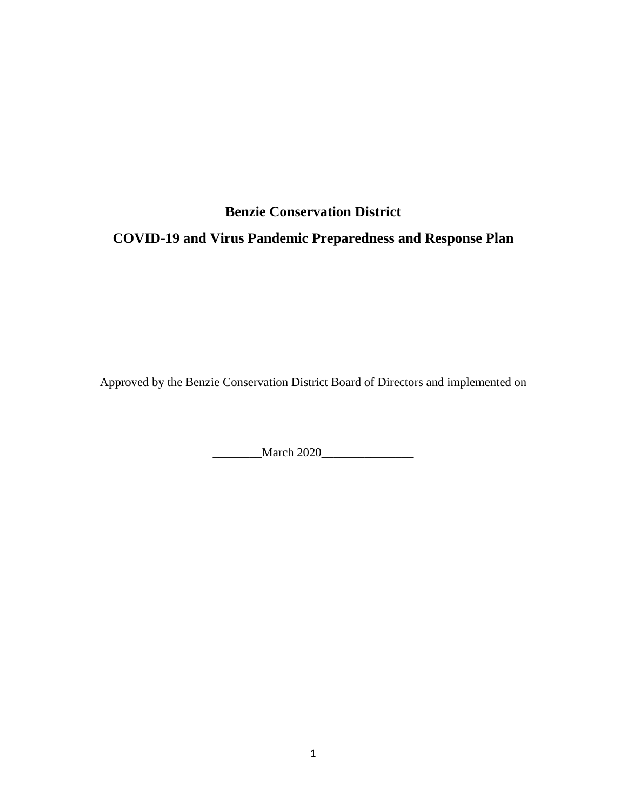# **Benzie Conservation District COVID-19 and Virus Pandemic Preparedness and Response Plan**

Approved by the Benzie Conservation District Board of Directors and implemented on

\_\_\_\_\_\_\_\_March 2020\_\_\_\_\_\_\_\_\_\_\_\_\_\_\_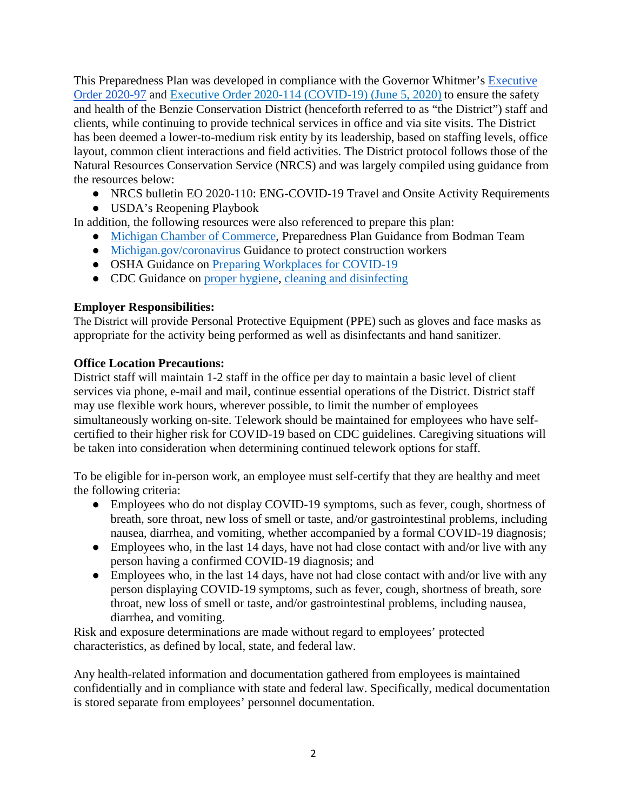This Preparedness Plan was developed in compliance with the Governor Whitmer's [Executive](https://www.michigan.gov/whitmer/0,9309,7-387-90499_90705-529864--,00.html)  [Order 2020-97](https://www.michigan.gov/whitmer/0,9309,7-387-90499_90705-529864--,00.html) and [Executive Order 2020-114 \(COVID-19\) \(June 5, 2020\)](https://www.michigan.gov/whitmer/0,9309,7-387-90499_90705-531123--,00.html) to ensure the safety and health of the Benzie Conservation District (henceforth referred to as "the District") staff and clients, while continuing to provide technical services in office and via site visits. The District has been deemed a lower-to-medium risk entity by its leadership, based on staffing levels, office layout, common client interactions and field activities. The District protocol follows those of the Natural Resources Conservation Service (NRCS) and was largely compiled using guidance from the resources below:

- NRCS bulletin EO 2020-110: ENG-COVID-19 Travel and Onsite Activity Requirements
- USDA's Reopening Playbook

In addition, the following resources were also referenced to prepare this plan:

- [Michigan Chamber of Commerce,](https://www.michamber.com/do-you-have-covid-19-preparedness-and-response-plan-we-can-help) Preparedness Plan Guidance from Bodman Team
- [Michigan.gov/coronavirus](https://www.michigan.gov/coronavirus/0,9753,7-406-98158-528335--,00.html) Guidance to protect construction workers
- OSHA Guidance on [Preparing Workplaces for COVID-19](https://www.osha.gov/Publications/OSHA3990.pdf)
- CDC Guidance on [proper hygiene,](https://www.cdc.gov/handwashing/when-how-handwashing.html) [cleaning and disinfecting](https://www.cdc.gov/coronavirus/2019-ncov/community/reopen-guidance.html)

## **Employer Responsibilities:**

The District will provide Personal Protective Equipment (PPE) such as gloves and face masks as appropriate for the activity being performed as well as disinfectants and hand sanitizer.

#### **Office Location Precautions:**

District staff will maintain 1-2 staff in the office per day to maintain a basic level of client services via phone, e-mail and mail, continue essential operations of the District. District staff may use flexible work hours, wherever possible, to limit the number of employees simultaneously working on-site. Telework should be maintained for employees who have selfcertified to their higher risk for COVID-19 based on CDC guidelines. Caregiving situations will be taken into consideration when determining continued telework options for staff.

To be eligible for in-person work, an employee must self-certify that they are healthy and meet the following criteria:

- Employees who do not display COVID-19 symptoms, such as fever, cough, shortness of breath, sore throat, new loss of smell or taste, and/or gastrointestinal problems, including nausea, diarrhea, and vomiting, whether accompanied by a formal COVID-19 diagnosis;
- Employees who, in the last 14 days, have not had close contact with and/or live with any person having a confirmed COVID-19 diagnosis; and
- Employees who, in the last 14 days, have not had close contact with and/or live with any person displaying COVID-19 symptoms, such as fever, cough, shortness of breath, sore throat, new loss of smell or taste, and/or gastrointestinal problems, including nausea, diarrhea, and vomiting.

Risk and exposure determinations are made without regard to employees' protected characteristics, as defined by local, state, and federal law.

Any health-related information and documentation gathered from employees is maintained confidentially and in compliance with state and federal law. Specifically, medical documentation is stored separate from employees' personnel documentation.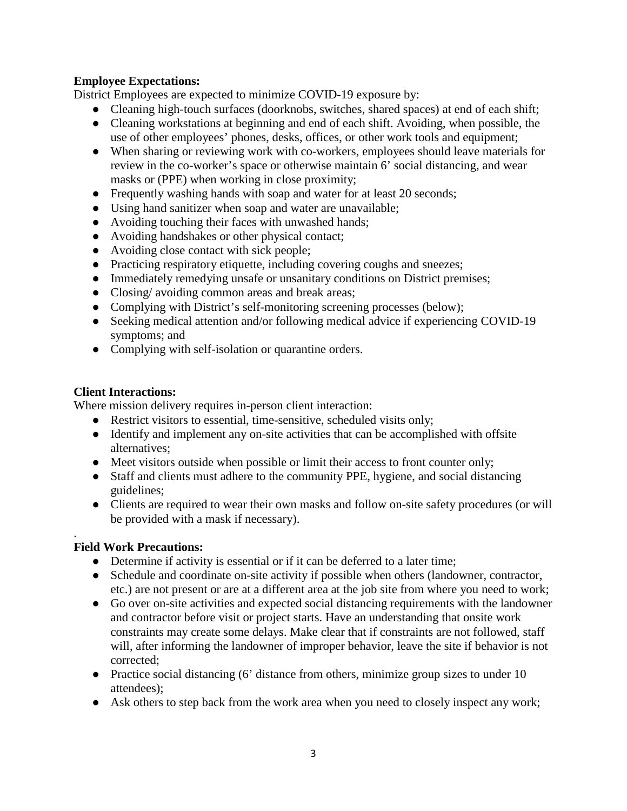## **Employee Expectations:**

District Employees are expected to minimize COVID-19 exposure by:

- Cleaning high-touch surfaces (doorknobs, switches, shared spaces) at end of each shift;
- Cleaning workstations at beginning and end of each shift. Avoiding, when possible, the use of other employees' phones, desks, offices, or other work tools and equipment;
- When sharing or reviewing work with co-workers, employees should leave materials for review in the co-worker's space or otherwise maintain 6' social distancing, and wear masks or (PPE) when working in close proximity;
- Frequently washing hands with soap and water for at least 20 seconds;
- Using hand sanitizer when soap and water are unavailable;
- Avoiding touching their faces with unwashed hands;
- Avoiding handshakes or other physical contact;
- Avoiding close contact with sick people;
- Practicing respiratory etiquette, including covering coughs and sneezes;
- Immediately remedying unsafe or unsanitary conditions on District premises;
- Closing/ avoiding common areas and break areas;
- Complying with District's self-monitoring screening processes (below);
- Seeking medical attention and/or following medical advice if experiencing COVID-19 symptoms; and
- Complying with self-isolation or quarantine orders.

## **Client Interactions:**

Where mission delivery requires in-person client interaction:

- Restrict visitors to essential, time-sensitive, scheduled visits only;
- Identify and implement any on-site activities that can be accomplished with offsite alternatives;
- Meet visitors outside when possible or limit their access to front counter only;
- Staff and clients must adhere to the community PPE, hygiene, and social distancing guidelines;
- Clients are required to wear their own masks and follow on-site safety procedures (or will be provided with a mask if necessary).

#### . **Field Work Precautions:**

- Determine if activity is essential or if it can be deferred to a later time;
- Schedule and coordinate on-site activity if possible when others (landowner, contractor, etc.) are not present or are at a different area at the job site from where you need to work;
- Go over on-site activities and expected social distancing requirements with the landowner and contractor before visit or project starts. Have an understanding that onsite work constraints may create some delays. Make clear that if constraints are not followed, staff will, after informing the landowner of improper behavior, leave the site if behavior is not corrected;
- Practice social distancing (6' distance from others, minimize group sizes to under 10 attendees);
- Ask others to step back from the work area when you need to closely inspect any work;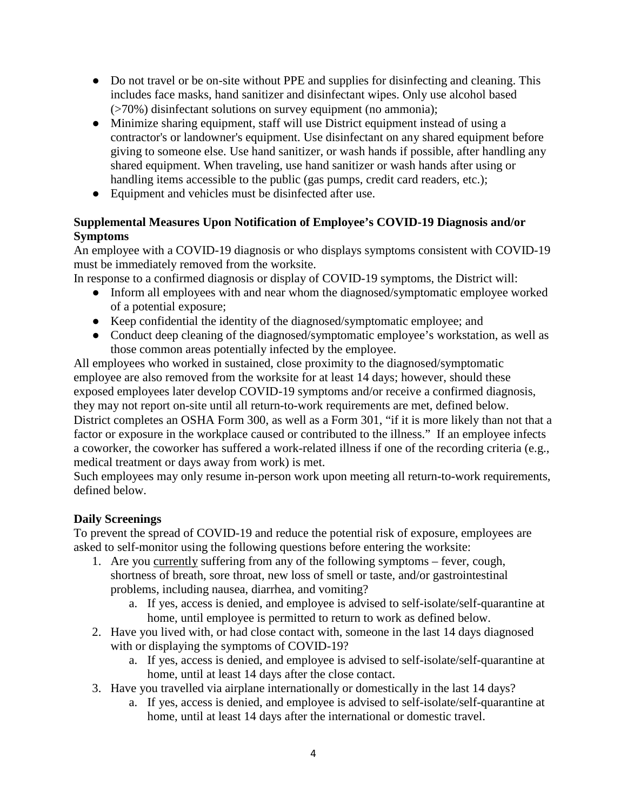- Do not travel or be on-site without PPE and supplies for disinfecting and cleaning. This includes face masks, hand sanitizer and disinfectant wipes. Only use alcohol based (>70%) disinfectant solutions on survey equipment (no ammonia);
- Minimize sharing equipment, staff will use District equipment instead of using a contractor's or landowner's equipment. Use disinfectant on any shared equipment before giving to someone else. Use hand sanitizer, or wash hands if possible, after handling any shared equipment. When traveling, use hand sanitizer or wash hands after using or handling items accessible to the public (gas pumps, credit card readers, etc.);
- Equipment and vehicles must be disinfected after use.

# **Supplemental Measures Upon Notification of Employee's COVID-19 Diagnosis and/or Symptoms**

An employee with a COVID-19 diagnosis or who displays symptoms consistent with COVID-19 must be immediately removed from the worksite.

In response to a confirmed diagnosis or display of COVID-19 symptoms, the District will:

- Inform all employees with and near whom the diagnosed/symptomatic employee worked of a potential exposure;
- Keep confidential the identity of the diagnosed/symptomatic employee; and
- Conduct deep cleaning of the diagnosed/symptomatic employee's workstation, as well as those common areas potentially infected by the employee.

All employees who worked in sustained, close proximity to the diagnosed/symptomatic employee are also removed from the worksite for at least 14 days; however, should these exposed employees later develop COVID-19 symptoms and/or receive a confirmed diagnosis, they may not report on-site until all return-to-work requirements are met, defined below. District completes an OSHA Form 300, as well as a Form 301, "if it is more likely than not that a factor or exposure in the workplace caused or contributed to the illness." If an employee infects a coworker, the coworker has suffered a work-related illness if one of the recording criteria (e.g., medical treatment or days away from work) is met.

Such employees may only resume in-person work upon meeting all return-to-work requirements, defined below.

## **Daily Screenings**

To prevent the spread of COVID-19 and reduce the potential risk of exposure, employees are asked to self-monitor using the following questions before entering the worksite:

- 1. Are you currently suffering from any of the following symptoms fever, cough, shortness of breath, sore throat, new loss of smell or taste, and/or gastrointestinal problems, including nausea, diarrhea, and vomiting?
	- a. If yes, access is denied, and employee is advised to self-isolate/self-quarantine at home, until employee is permitted to return to work as defined below.
- 2. Have you lived with, or had close contact with, someone in the last 14 days diagnosed with or displaying the symptoms of COVID-19?
	- a. If yes, access is denied, and employee is advised to self-isolate/self-quarantine at home, until at least 14 days after the close contact.
- 3. Have you travelled via airplane internationally or domestically in the last 14 days?
	- a. If yes, access is denied, and employee is advised to self-isolate/self-quarantine at home, until at least 14 days after the international or domestic travel.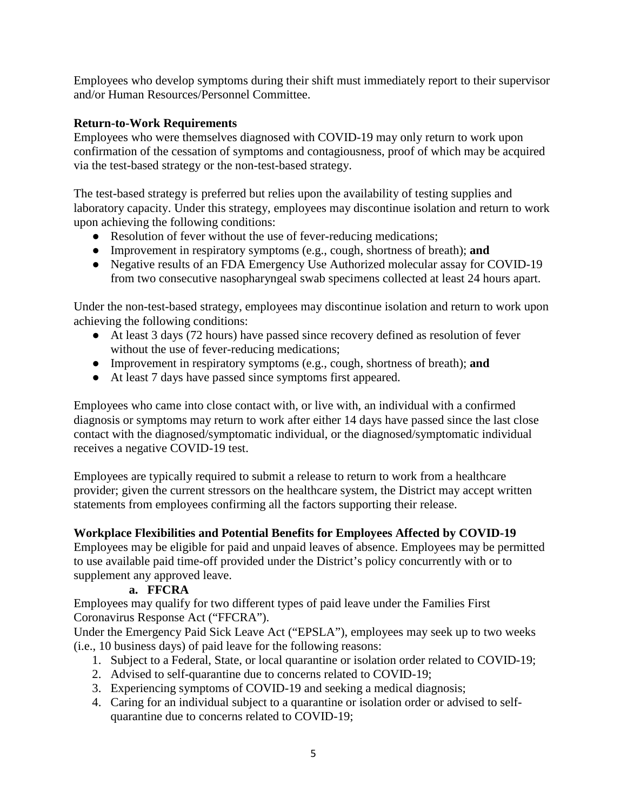Employees who develop symptoms during their shift must immediately report to their supervisor and/or Human Resources/Personnel Committee.

## **Return-to-Work Requirements**

Employees who were themselves diagnosed with COVID-19 may only return to work upon confirmation of the cessation of symptoms and contagiousness, proof of which may be acquired via the test-based strategy or the non-test-based strategy.

The test-based strategy is preferred but relies upon the availability of testing supplies and laboratory capacity. Under this strategy, employees may discontinue isolation and return to work upon achieving the following conditions:

- Resolution of fever without the use of fever-reducing medications;
- Improvement in respiratory symptoms (e.g., cough, shortness of breath); **and**
- Negative results of an FDA Emergency Use Authorized molecular assay for COVID-19 from two consecutive nasopharyngeal swab specimens collected at least 24 hours apart.

Under the non-test-based strategy, employees may discontinue isolation and return to work upon achieving the following conditions:

- At least 3 days (72 hours) have passed since recovery defined as resolution of fever without the use of fever-reducing medications;
- Improvement in respiratory symptoms (e.g., cough, shortness of breath); **and**
- At least 7 days have passed since symptoms first appeared.

Employees who came into close contact with, or live with, an individual with a confirmed diagnosis or symptoms may return to work after either 14 days have passed since the last close contact with the diagnosed/symptomatic individual, or the diagnosed/symptomatic individual receives a negative COVID-19 test.

Employees are typically required to submit a release to return to work from a healthcare provider; given the current stressors on the healthcare system, the District may accept written statements from employees confirming all the factors supporting their release.

## **Workplace Flexibilities and Potential Benefits for Employees Affected by COVID-19**

Employees may be eligible for paid and unpaid leaves of absence. Employees may be permitted to use available paid time-off provided under the District's policy concurrently with or to supplement any approved leave.

## **a. FFCRA**

Employees may qualify for two different types of paid leave under the Families First Coronavirus Response Act ("FFCRA").

Under the Emergency Paid Sick Leave Act ("EPSLA"), employees may seek up to two weeks (i.e., 10 business days) of paid leave for the following reasons:

- 1. Subject to a Federal, State, or local quarantine or isolation order related to COVID-19;
- 2. Advised to self-quarantine due to concerns related to COVID-19;
- 3. Experiencing symptoms of COVID-19 and seeking a medical diagnosis;
- 4. Caring for an individual subject to a quarantine or isolation order or advised to selfquarantine due to concerns related to COVID-19;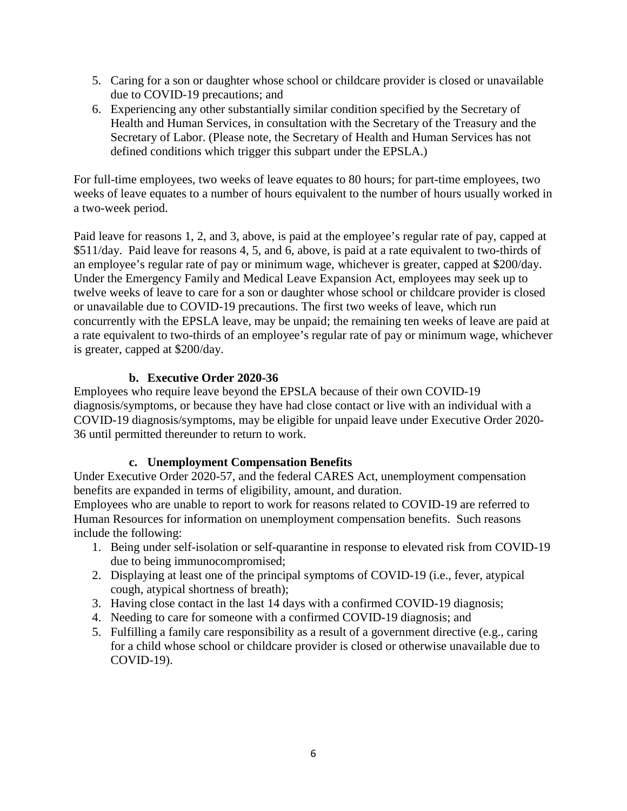- 5. Caring for a son or daughter whose school or childcare provider is closed or unavailable due to COVID-19 precautions; and
- 6. Experiencing any other substantially similar condition specified by the Secretary of Health and Human Services, in consultation with the Secretary of the Treasury and the Secretary of Labor. (Please note, the Secretary of Health and Human Services has not defined conditions which trigger this subpart under the EPSLA.)

For full-time employees, two weeks of leave equates to 80 hours; for part-time employees, two weeks of leave equates to a number of hours equivalent to the number of hours usually worked in a two-week period.

Paid leave for reasons 1, 2, and 3, above, is paid at the employee's regular rate of pay, capped at \$511/day. Paid leave for reasons 4, 5, and 6, above, is paid at a rate equivalent to two-thirds of an employee's regular rate of pay or minimum wage, whichever is greater, capped at \$200/day. Under the Emergency Family and Medical Leave Expansion Act, employees may seek up to twelve weeks of leave to care for a son or daughter whose school or childcare provider is closed or unavailable due to COVID-19 precautions. The first two weeks of leave, which run concurrently with the EPSLA leave, may be unpaid; the remaining ten weeks of leave are paid at a rate equivalent to two-thirds of an employee's regular rate of pay or minimum wage, whichever is greater, capped at \$200/day.

# **b. Executive Order 2020-36**

Employees who require leave beyond the EPSLA because of their own COVID-19 diagnosis/symptoms, or because they have had close contact or live with an individual with a COVID-19 diagnosis/symptoms, may be eligible for unpaid leave under Executive Order 2020- 36 until permitted thereunder to return to work.

## **c. Unemployment Compensation Benefits**

Under Executive Order 2020-57, and the federal CARES Act, unemployment compensation benefits are expanded in terms of eligibility, amount, and duration.

Employees who are unable to report to work for reasons related to COVID-19 are referred to Human Resources for information on unemployment compensation benefits. Such reasons include the following:

- 1. Being under self-isolation or self-quarantine in response to elevated risk from COVID-19 due to being immunocompromised;
- 2. Displaying at least one of the principal symptoms of COVID-19 (i.e., fever, atypical cough, atypical shortness of breath);
- 3. Having close contact in the last 14 days with a confirmed COVID-19 diagnosis;
- 4. Needing to care for someone with a confirmed COVID-19 diagnosis; and
- 5. Fulfilling a family care responsibility as a result of a government directive (e.g., caring for a child whose school or childcare provider is closed or otherwise unavailable due to COVID-19).